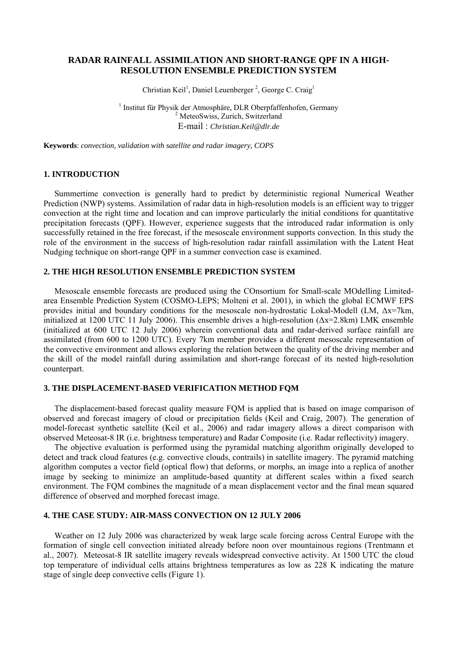# **RADAR RAINFALL ASSIMILATION AND SHORT-RANGE QPF IN A HIGH-RESOLUTION ENSEMBLE PREDICTION SYSTEM**

Christian Keil<sup>1</sup>, Daniel Leuenberger<sup>2</sup>, George C. Craig<sup>1</sup>

<sup>1</sup> Institut für Physik der Atmosphäre, DLR Oberpfaffenhofen, Germany  $\frac{2 \text{ MetocSwies} \times \text{Twisted}\times \text{Swirtschaft}}{2}$ <sup>2</sup> MeteoSwiss, Zurich, Switzerland E-mail : *Christian.Keil@dlr.de*

**Keywords**: *convection, validation with satellite and radar imagery, COPS* 

## **1. INTRODUCTION**

Summertime convection is generally hard to predict by deterministic regional Numerical Weather Prediction (NWP) systems. Assimilation of radar data in high-resolution models is an efficient way to trigger convection at the right time and location and can improve particularly the initial conditions for quantitative precipitation forecasts (QPF). However, experience suggests that the introduced radar information is only successfully retained in the free forecast, if the mesoscale environment supports convection. In this study the role of the environment in the success of high-resolution radar rainfall assimilation with the Latent Heat Nudging technique on short-range QPF in a summer convection case is examined.

### **2. THE HIGH RESOLUTION ENSEMBLE PREDICTION SYSTEM**

Mesoscale ensemble forecasts are produced using the COnsortium for Small-scale MOdelling Limitedarea Ensemble Prediction System (COSMO-LEPS; Molteni et al. 2001), in which the global ECMWF EPS provides initial and boundary conditions for the mesoscale non-hydrostatic Lokal-Modell (LM, Δx=7km, initialized at 1200 UTC 11 July 2006). This ensemble drives a high-resolution ( $\Delta x=2.8$ km) LMK ensemble (initialized at 600 UTC 12 July 2006) wherein conventional data and radar-derived surface rainfall are assimilated (from 600 to 1200 UTC). Every 7km member provides a different mesoscale representation of the convective environment and allows exploring the relation between the quality of the driving member and the skill of the model rainfall during assimilation and short-range forecast of its nested high-resolution counterpart.

### **3. THE DISPLACEMENT-BASED VERIFICATION METHOD FQM**

The displacement-based forecast quality measure FQM is applied that is based on image comparison of observed and forecast imagery of cloud or precipitation fields (Keil and Craig, 2007). The generation of model-forecast synthetic satellite (Keil et al., 2006) and radar imagery allows a direct comparison with observed Meteosat-8 IR (i.e. brightness temperature) and Radar Composite (i.e. Radar reflectivity) imagery.

The objective evaluation is performed using the pyramidal matching algorithm originally developed to detect and track cloud features (e.g. convective clouds, contrails) in satellite imagery. The pyramid matching algorithm computes a vector field (optical flow) that deforms, or morphs, an image into a replica of another image by seeking to minimize an amplitude-based quantity at different scales within a fixed search environment. The FQM combines the magnitude of a mean displacement vector and the final mean squared difference of observed and morphed forecast image.

# **4. THE CASE STUDY: AIR-MASS CONVECTION ON 12 JULY 2006**

Weather on 12 July 2006 was characterized by weak large scale forcing across Central Europe with the formation of single cell convection initiated already before noon over mountainous regions (Trentmann et al., 2007). Meteosat-8 IR satellite imagery reveals widespread convective activity. At 1500 UTC the cloud top temperature of individual cells attains brightness temperatures as low as 228 K indicating the mature stage of single deep convective cells (Figure 1).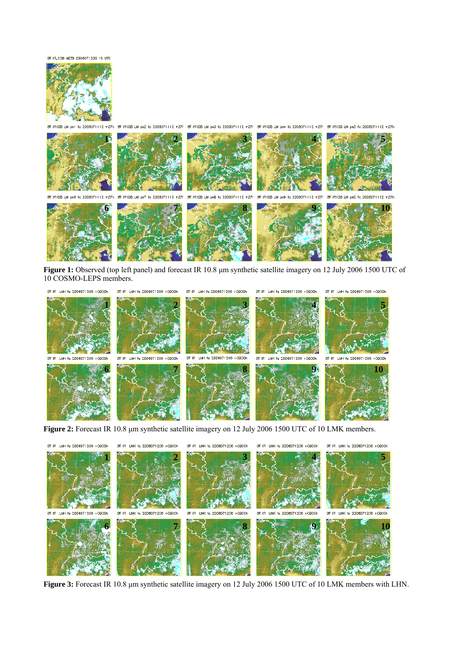BT IR\_10B METB 2006071200 15 UTC



BT IR108 LM ps1 fc 2008071112 +27h ...<br>BT IR1D8 IN pe2 fo 2DOB071112 +27h BT IR1D8 IN pe3 fo 2DOB071112 +27h BT IR1D8 IN pe4 fo 2DOB071112 +27h BT IR1D8 IN pe5 fo 2DOB071112 +27h

**1 2 3 4 5**  BT IR108 LM ps7 fc 2D08071112  $+271$ BT IR108 LM ps8 fo 2008071112  $+27$ BT IR108 LM ps9 fo 2D08071112 +27h BT IR1D8 LM ps0 fc 2008071112 +27 **6 7 8 9 10** 

**Figure 1:** Observed (top left panel) and forecast IR 10.8 μm synthetic satellite imagery on 12 July 2006 1500 UTC of 10 COSMO-LEPS members.



**Figure 2:** Forecast IR 10.8 μm synthetic satellite imagery on 12 July 2006 1500 UTC of 10 LMK members.



**Figure 3:** Forecast IR 10.8 μm synthetic satellite imagery on 12 July 2006 1500 UTC of 10 LMK members with LHN.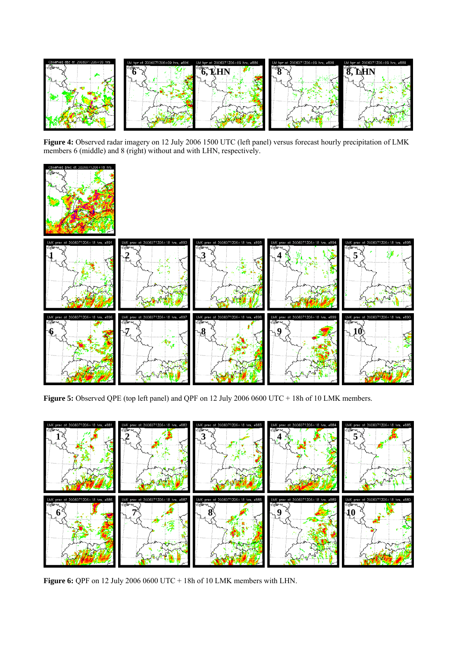

**Figure 4:** Observed radar imagery on 12 July 2006 1500 UTC (left panel) versus forecast hourly precipitation of LMK members 6 (middle) and 8 (right) without and with LHN, respectively.



Figure 5: Observed QPE (top left panel) and QPF on 12 July 2006 0600 UTC + 18h of 10 LMK members.



**Figure 6:** QPF on 12 July 2006 0600 UTC + 18h of 10 LMK members with LHN.